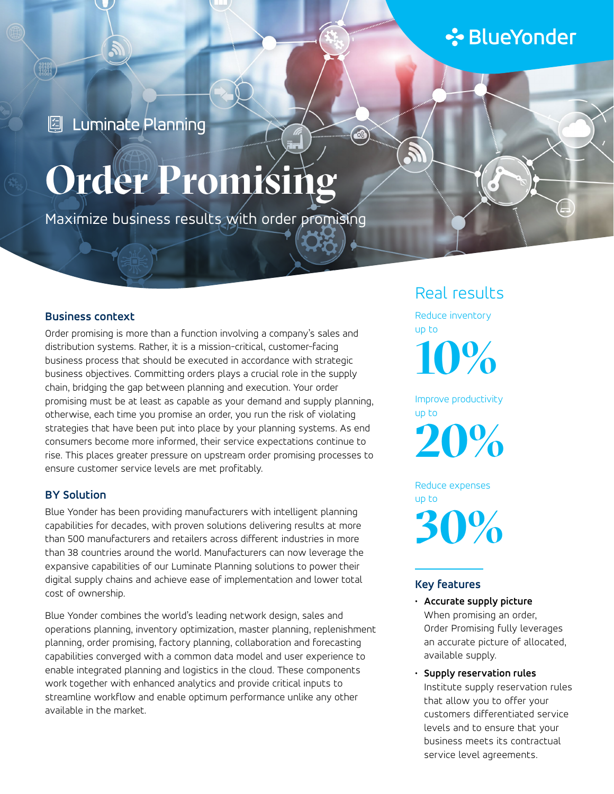# **∻**BlueYonder

**2** Luminate Planning

# Order Promisi

Maximize business results with order promising

### **Business context**

Order promising is more than a function involving a company's sales and distribution systems. Rather, it is a mission-critical, customer-facing business process that should be executed in accordance with strategic business objectives. Committing orders plays a crucial role in the supply chain, bridging the gap between planning and execution. Your order promising must be at least as capable as your demand and supply planning, otherwise, each time you promise an order, you run the risk of violating strategies that have been put into place by your planning systems. As end consumers become more informed, their service expectations continue to rise. This places greater pressure on upstream order promising processes to ensure customer service levels are met profitably.

### **BY Solution**

Blue Yonder has been providing manufacturers with intelligent planning capabilities for decades, with proven solutions delivering results at more than 500 manufacturers and retailers across different industries in more than 38 countries around the world. Manufacturers can now leverage the expansive capabilities of our Luminate Planning solutions to power their digital supply chains and achieve ease of implementation and lower total cost of ownership.

Blue Yonder combines the world's leading network design, sales and operations planning, inventory optimization, master planning, replenishment planning, order promising, factory planning, collaboration and forecasting capabilities converged with a common data model and user experience to enable integrated planning and logistics in the cloud. These components work together with enhanced analytics and provide critical inputs to streamline workflow and enable optimum performance unlike any other available in the market.

## Real results

Reduce inventory up to

**10%**

Improve productivity up to

**20%**

Reduce expenses up to **30%**

### **Key features**

- **Accurate supply picture** When promising an order, Order Promising fully leverages an accurate picture of allocated, available supply.
- **Supply reservation rules** Institute supply reservation rules that allow you to offer your customers differentiated service levels and to ensure that your business meets its contractual service level agreements.